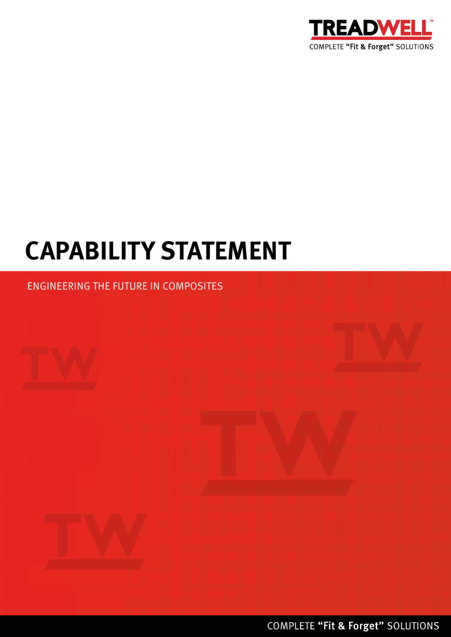

# **CAPABILITY STATEMENT**

### ENGINEERING THE FUTURE IN COMPOSITES









COMPLETE "Fit & Forget" SOLUTIONS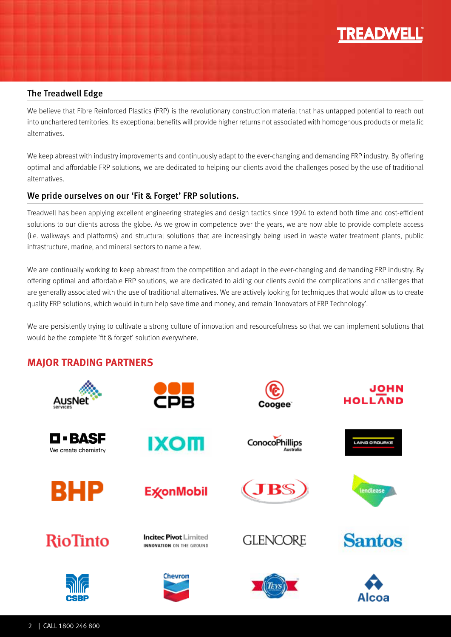

#### The Treadwell Edge

We believe that Fibre Reinforced Plastics (FRP) is the revolutionary construction material that has untapped potential to reach out into unchartered territories. Its exceptional benefits will provide higher returns not associated with homogenous products or metallic alternatives.

We keep abreast with industry improvements and continuously adapt to the ever-changing and demanding FRP industry. By offering optimal and affordable FRP solutions, we are dedicated to helping our clients avoid the challenges posed by the use of traditional alternatives.

#### We pride ourselves on our 'Fit & Forget' FRP solutions.

Treadwell has been applying excellent engineering strategies and design tactics since 1994 to extend both time and cost-efficient solutions to our clients across the globe. As we grow in competence over the years, we are now able to provide complete access (i.e. walkways and platforms) and structural solutions that are increasingly being used in waste water treatment plants, public infrastructure, marine, and mineral sectors to name a few.

We are continually working to keep abreast from the competition and adapt in the ever-changing and demanding FRP industry. By offering optimal and affordable FRP solutions, we are dedicated to aiding our clients avoid the complications and challenges that are generally associated with the use of traditional alternatives. We are actively looking for techniques that would allow us to create quality FRP solutions, which would in turn help save time and money, and remain 'Innovators of FRP Technology'.

We are persistently trying to cultivate a strong culture of innovation and resourcefulness so that we can implement solutions that would be the complete 'fit & forget' solution everywhere.

#### **MAJOR TRADING PARTNERS**

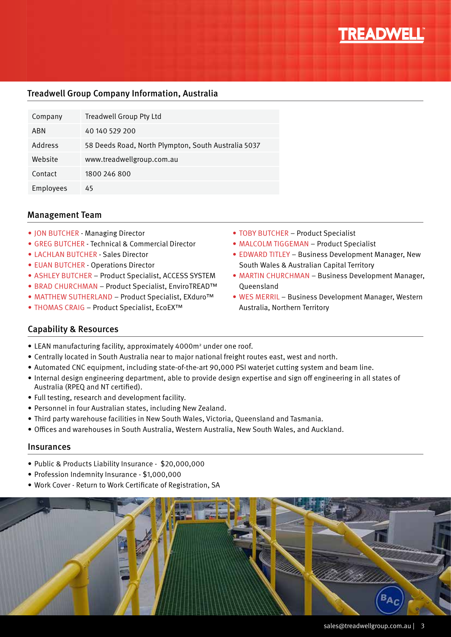

#### Treadwell Group Company Information, Australia

| Company   | <b>Treadwell Group Pty Ltd</b>                      |
|-----------|-----------------------------------------------------|
| ABN       | 40 140 529 200                                      |
| Address   | 58 Deeds Road, North Plympton, South Australia 5037 |
| Website   | www.treadwellgroup.com.au                           |
| Contact   | 1800 246 800                                        |
| Employees | 45                                                  |

#### Management Team

- 
- GREG BUTCHER Technical & Commercial Director
- LACHLAN BUTCHER Sales Director
- EUAN BUTCHER Operations Director
- ASHLEY BUTCHER Product Specialist, ACCESS SYSTEM
- BRAD CHURCHMAN Product Specialist, EnviroTREAD™
- MATTHEW SUTHERLAND Product Specialist, EXduro™
- THOMAS CRAIG Product Specialist, EcoEX™
- TOBY BUTCHER Product Specialist
- MALCOLM TIGGEMAN Product Specialist
- EDWARD TITLEY Business Development Manager, New South Wales & Australian Capital Territory
- MARTIN CHURCHMAN Business Development Manager, **Oueensland**
- WES MERRIL Business Development Manager, Western Australia, Northern Territory

#### Capability & Resources

- LEAN manufacturing facility, approximately 4000m<sup>2</sup> under one roof.
- Centrally located in South Australia near to major national freight routes east, west and north.
- Automated CNC equipment, including state-of-the-art 90,000 PSI waterjet cutting system and beam line.
- Internal design engineering department, able to provide design expertise and sign off engineering in all states of Australia (RPEQ and NT certified).
- Full testing, research and development facility.
- Personnel in four Australian states, including New Zealand.
- Third party warehouse facilities in New South Wales, Victoria, Queensland and Tasmania.
- Offices and warehouses in South Australia, Western Australia, New South Wales, and Auckland.

#### Insurances

- Public & Products Liability Insurance \$20,000,000
- Profession Indemnity Insurance \$1,000,000
- Work Cover Return to Work Certificate of Registration, SA

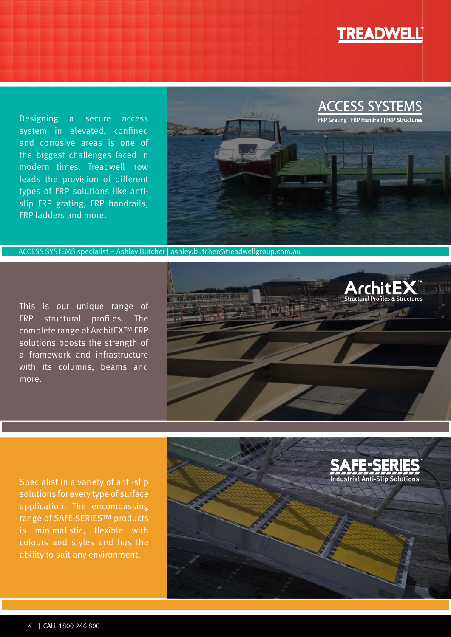

Designing a secure access system in elevated, confined and corrosive areas is one of the biggest challenges faced in modern times. Treadwell now leads the provision of different types of FRP solutions like antislip FRP grating, FRP handrails, FRP ladders and more.



ACCESS SYSTEMS specialist – Ashley Butcher | ashley.butcher@treadwellgroup.com.au

This is our unique range of FRP structural profiles. The complete range of ArchitEX™ FRP solutions boosts the strength of a framework and infrastructure with its columns, beams and more.



Specialist in a variety of anti-slip solutions for every type of surface application. The encompassing range of SAFE-SERIES™ products is minimalistic, flexible with colours and styles and has the ability to suit any environment.

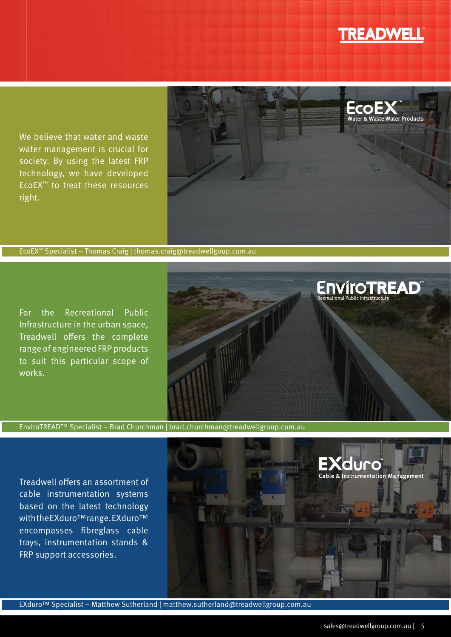## **TREADWELL**®

ENVÍTOTREAD<sup>"</sup><br>Recreational Public Infrastructure

We believe that water and waste water management is crucial for society. By using the latest FRP technology, we have developed EcoEX™ to treat these resources right.



EcoEX™ Specialist – Thomas Craig | thomas.craig@treadwellgoup.com.au

For the Recreational Public Infrastructure in the urban space, Treadwell offers the complete range of engineered FRP products to suit this particular scope of works.



EnviroTREAD™ Specialist – Brad Churchman | brad.churchman@treadwellgroup.com.au

Treadwell offers an assortment of cable instrumentation systems based on the latest technology with the EXduro™ range. EXduro™ encompasses fibreglass cable trays, instrumentation stands & FRP support accessories.

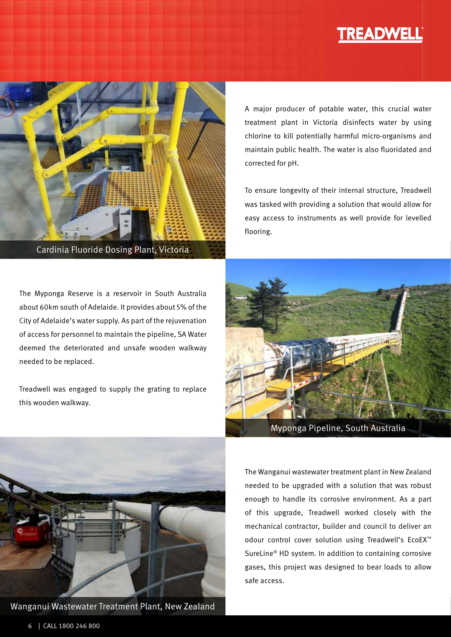## **TREADWELL**



Cardinia Fluoride Dosing Plant, Victoria

The Myponga Reserve is a reservoir in South Australia about 60km south of Adelaide. It provides about 5% of the City of Adelaide's water supply. As part of the rejuvenation of access for personnel to maintain the pipeline, SA Water deemed the deteriorated and unsafe wooden walkway needed to be replaced.

Treadwell was engaged to supply the grating to replace this wooden walkway.

A major producer of potable water, this crucial water treatment plant in Victoria disinfects water by using chlorine to kill potentially harmful micro-organisms and maintain public health. The water is also fluoridated and corrected for pH.

To ensure longevity of their internal structure, Treadwell was tasked with providing a solution that would allow for easy access to instruments as well provide for levelled flooring.



Myponga Pipeline, South Australia



Wanganui Wastewater Treatment Plant, New Zealand

The Wanganui wastewater treatment plant in New Zealand needed to be upgraded with a solution that was robust enough to handle its corrosive environment. As a part of this upgrade, Treadwell worked closely with the mechanical contractor, builder and council to deliver an odour control cover solution using Treadwell's EcoEX™ SureLine® HD system. In addition to containing corrosive gases, this project was designed to bear loads to allow safe access.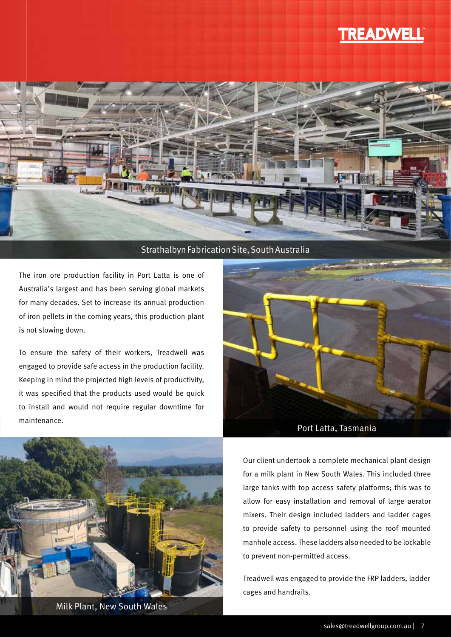### **TREADWELL**



#### Strathalbyn Fabrication Site, South Australia

The iron ore production facility in Port Latta is one of Australia's largest and has been serving global markets for many decades. Set to increase its annual production of iron pellets in the coming years, this production plant is not slowing down.

To ensure the safety of their workers, Treadwell was engaged to provide safe access in the production facility. Keeping in mind the projected high levels of productivity, it was specified that the products used would be quick to install and would not require regular downtime for maintenance.



Milk Plant, New South Wales<br>https://www.com.au.com/wild-authorize-sales@treadwellgroup.com.au Sales@treadwellgroup.com.au



Our client undertook a complete mechanical plant design for a milk plant in New South Wales. This included three large tanks with top access safety platforms; this was to allow for easy installation and removal of large aerator mixers. Their design included ladders and ladder cages to provide safety to personnel using the roof mounted manhole access. These ladders also needed to be lockable to prevent non-permitted access.

Treadwell was engaged to provide the FRP ladders, ladder cages and handrails.